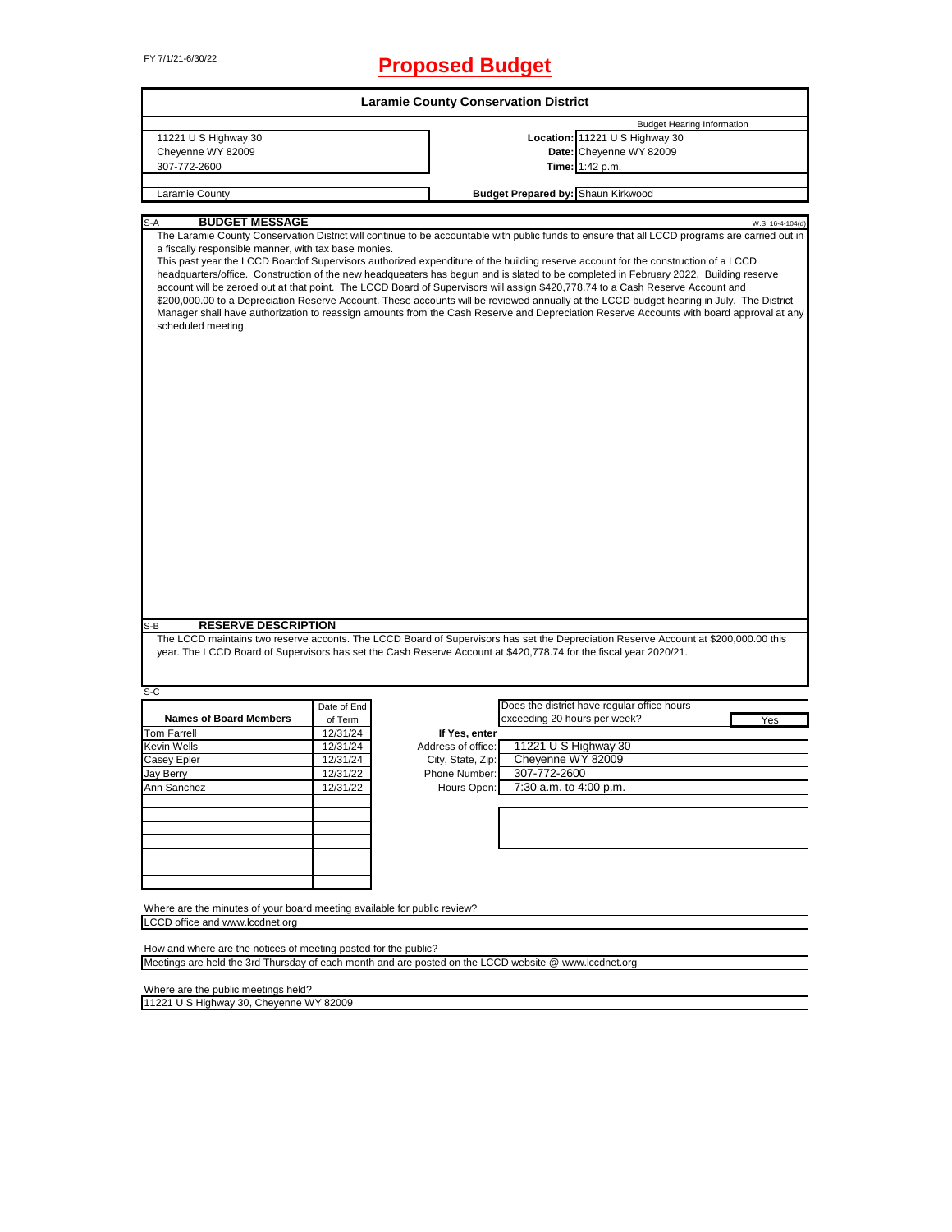# FY 7/1/21-6/30/22 **Proposed Budget**

|                                                                                                                                                                                                                                                                                                                                                                                                                                                                                                                                                                                                                                                                                                                                                                                                                                                                                                                                                                       |             | <b>Laramie County Conservation District</b> |                              |                                             |                  |
|-----------------------------------------------------------------------------------------------------------------------------------------------------------------------------------------------------------------------------------------------------------------------------------------------------------------------------------------------------------------------------------------------------------------------------------------------------------------------------------------------------------------------------------------------------------------------------------------------------------------------------------------------------------------------------------------------------------------------------------------------------------------------------------------------------------------------------------------------------------------------------------------------------------------------------------------------------------------------|-------------|---------------------------------------------|------------------------------|---------------------------------------------|------------------|
|                                                                                                                                                                                                                                                                                                                                                                                                                                                                                                                                                                                                                                                                                                                                                                                                                                                                                                                                                                       |             |                                             |                              | <b>Budget Hearing Information</b>           |                  |
| 11221 U S Highway 30                                                                                                                                                                                                                                                                                                                                                                                                                                                                                                                                                                                                                                                                                                                                                                                                                                                                                                                                                  |             |                                             |                              | Location: 11221 U S Highway 30              |                  |
| Cheyenne WY 82009                                                                                                                                                                                                                                                                                                                                                                                                                                                                                                                                                                                                                                                                                                                                                                                                                                                                                                                                                     |             |                                             |                              | Date: Cheyenne WY 82009                     |                  |
| 307-772-2600                                                                                                                                                                                                                                                                                                                                                                                                                                                                                                                                                                                                                                                                                                                                                                                                                                                                                                                                                          |             |                                             |                              | Time: 1:42 p.m.                             |                  |
| Laramie County                                                                                                                                                                                                                                                                                                                                                                                                                                                                                                                                                                                                                                                                                                                                                                                                                                                                                                                                                        |             |                                             |                              | <b>Budget Prepared by: Shaun Kirkwood</b>   |                  |
|                                                                                                                                                                                                                                                                                                                                                                                                                                                                                                                                                                                                                                                                                                                                                                                                                                                                                                                                                                       |             |                                             |                              |                                             |                  |
| $S-A$<br><b>BUDGET MESSAGE</b><br>The Laramie County Conservation District will continue to be accountable with public funds to ensure that all LCCD programs are carried out in<br>a fiscally responsible manner, with tax base monies.<br>This past year the LCCD Boardof Supervisors authorized expenditure of the building reserve account for the construction of a LCCD<br>headquarters/office. Construction of the new headqueaters has begun and is slated to be completed in February 2022. Building reserve<br>account will be zeroed out at that point. The LCCD Board of Supervisors will assign \$420,778.74 to a Cash Reserve Account and<br>\$200,000.00 to a Depreciation Reserve Account. These accounts will be reviewed annually at the LCCD budget hearing in July. The District<br>Manager shall have authorization to reassign amounts from the Cash Reserve and Depreciation Reserve Accounts with board approval at any<br>scheduled meeting. |             |                                             |                              |                                             | W.S. 16-4-104(d) |
| <b>RESERVE DESCRIPTION</b><br>The LCCD maintains two reserve acconts. The LCCD Board of Supervisors has set the Depreciation Reserve Account at \$200,000.00 this                                                                                                                                                                                                                                                                                                                                                                                                                                                                                                                                                                                                                                                                                                                                                                                                     |             |                                             |                              |                                             |                  |
| year. The LCCD Board of Supervisors has set the Cash Reserve Account at \$420,778.74 for the fiscal year 2020/21.                                                                                                                                                                                                                                                                                                                                                                                                                                                                                                                                                                                                                                                                                                                                                                                                                                                     |             |                                             |                              |                                             |                  |
|                                                                                                                                                                                                                                                                                                                                                                                                                                                                                                                                                                                                                                                                                                                                                                                                                                                                                                                                                                       |             |                                             |                              |                                             |                  |
|                                                                                                                                                                                                                                                                                                                                                                                                                                                                                                                                                                                                                                                                                                                                                                                                                                                                                                                                                                       |             |                                             |                              |                                             |                  |
|                                                                                                                                                                                                                                                                                                                                                                                                                                                                                                                                                                                                                                                                                                                                                                                                                                                                                                                                                                       | Date of End |                                             |                              | Does the district have regular office hours |                  |
| <b>Names of Board Members</b>                                                                                                                                                                                                                                                                                                                                                                                                                                                                                                                                                                                                                                                                                                                                                                                                                                                                                                                                         | of Term     |                                             | exceeding 20 hours per week? |                                             | Yes              |
|                                                                                                                                                                                                                                                                                                                                                                                                                                                                                                                                                                                                                                                                                                                                                                                                                                                                                                                                                                       | 12/31/24    | If Yes, enter                               |                              |                                             |                  |
|                                                                                                                                                                                                                                                                                                                                                                                                                                                                                                                                                                                                                                                                                                                                                                                                                                                                                                                                                                       | 12/31/24    | Address of office:                          | 11221 U S Highway 30         |                                             |                  |
|                                                                                                                                                                                                                                                                                                                                                                                                                                                                                                                                                                                                                                                                                                                                                                                                                                                                                                                                                                       | 12/31/24    | City, State, Zip:                           | Cheyenne WY 82009            |                                             |                  |
|                                                                                                                                                                                                                                                                                                                                                                                                                                                                                                                                                                                                                                                                                                                                                                                                                                                                                                                                                                       | 12/31/22    | Phone Number:                               | 307-772-2600                 |                                             |                  |
|                                                                                                                                                                                                                                                                                                                                                                                                                                                                                                                                                                                                                                                                                                                                                                                                                                                                                                                                                                       | 12/31/22    | Hours Open:                                 | 7:30 a.m. to 4:00 p.m.       |                                             |                  |
|                                                                                                                                                                                                                                                                                                                                                                                                                                                                                                                                                                                                                                                                                                                                                                                                                                                                                                                                                                       |             |                                             |                              |                                             |                  |
|                                                                                                                                                                                                                                                                                                                                                                                                                                                                                                                                                                                                                                                                                                                                                                                                                                                                                                                                                                       |             |                                             |                              |                                             |                  |
|                                                                                                                                                                                                                                                                                                                                                                                                                                                                                                                                                                                                                                                                                                                                                                                                                                                                                                                                                                       |             |                                             |                              |                                             |                  |
| S-B<br>S-C<br><b>Tom Farrell</b><br>Kevin Wells<br>Casey Epler<br>Jay Berry<br>Ann Sanchez                                                                                                                                                                                                                                                                                                                                                                                                                                                                                                                                                                                                                                                                                                                                                                                                                                                                            |             |                                             |                              |                                             |                  |
|                                                                                                                                                                                                                                                                                                                                                                                                                                                                                                                                                                                                                                                                                                                                                                                                                                                                                                                                                                       |             |                                             |                              |                                             |                  |
|                                                                                                                                                                                                                                                                                                                                                                                                                                                                                                                                                                                                                                                                                                                                                                                                                                                                                                                                                                       |             |                                             |                              |                                             |                  |
|                                                                                                                                                                                                                                                                                                                                                                                                                                                                                                                                                                                                                                                                                                                                                                                                                                                                                                                                                                       |             |                                             |                              |                                             |                  |
| Where are the minutes of your board meeting available for public review?<br>LCCD office and www.lccdnet.org                                                                                                                                                                                                                                                                                                                                                                                                                                                                                                                                                                                                                                                                                                                                                                                                                                                           |             |                                             |                              |                                             |                  |

Where are the public meetings held?

11221 U S Highway 30, Cheyenne WY 82009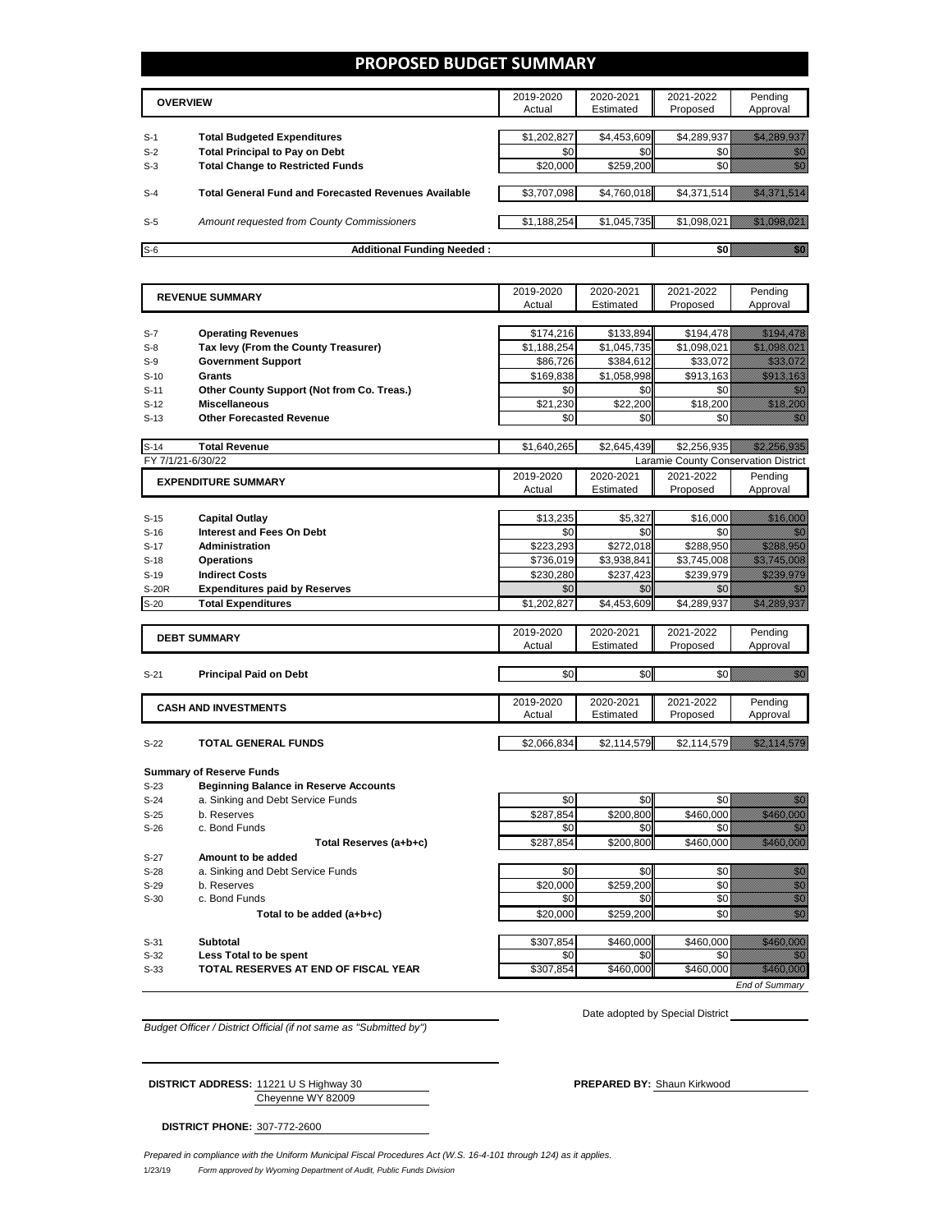## **PROPOSED BUDGET SUMMARY**

|       | <b>OVERVIEW</b>                                             | 2019-2020<br>Actual | 2020-2021<br>Estimated | 2021-2022<br>Proposed | Pending<br>Approval |
|-------|-------------------------------------------------------------|---------------------|------------------------|-----------------------|---------------------|
| $S-1$ | <b>Total Budgeted Expenditures</b>                          | \$1,202,827         | \$4,453,609            | \$4,289,937           |                     |
| $S-2$ | <b>Total Principal to Pay on Debt</b>                       | \$0                 | \$0                    |                       |                     |
| $S-3$ | <b>Total Change to Restricted Funds</b>                     | \$20,000            | \$259,200              |                       |                     |
| $S-4$ | <b>Total General Fund and Forecasted Revenues Available</b> | \$3,707,098         | \$4,760,018            | \$4,371,514           |                     |
| $S-5$ | Amount requested from County Commissioners                  | \$1,188,254         | \$1,045,735            | \$1,098,021           |                     |
| $S-6$ | <b>Additional Funding Needed:</b>                           |                     |                        |                       |                     |

|                   | <b>REVENUE SUMMARY</b>                       | 2019-2020   | 2020-2021   | 2021-2022                            | Pending                                                                                                                                                                                                                           |
|-------------------|----------------------------------------------|-------------|-------------|--------------------------------------|-----------------------------------------------------------------------------------------------------------------------------------------------------------------------------------------------------------------------------------|
|                   |                                              | Actual      | Estimated   | Proposed                             | Approval                                                                                                                                                                                                                          |
|                   |                                              |             |             |                                      |                                                                                                                                                                                                                                   |
| $S-7$             | <b>Operating Revenues</b>                    | \$174,216   | \$133,894   | \$194,478                            | <u>ilikuwa m</u>                                                                                                                                                                                                                  |
| $S-8$             | Tax levy (From the County Treasurer)         | \$1,188,254 | \$1,045,735 | \$1,098,021                          | <u> Harristo et al.</u>                                                                                                                                                                                                           |
| $S-9$             | <b>Government Support</b>                    | \$86,726    | \$384,612   | \$33,072                             | <u> Mariji (</u>                                                                                                                                                                                                                  |
| $S-10$            | Grants                                       | \$169.838   | \$1.058.998 | \$913.163                            |                                                                                                                                                                                                                                   |
| $S-11$            | Other County Support (Not from Co. Treas.)   | \$0         | \$0         | \$0                                  | 11                                                                                                                                                                                                                                |
| $S-12$            | <b>Miscellaneous</b>                         | \$21.230    | \$22,200    | \$18,200                             | <u> Karlin Marsh</u>                                                                                                                                                                                                              |
| $S-13$            | <b>Other Forecasted Revenue</b>              | \$0         | \$0         | \$0                                  | an di Kabupatén                                                                                                                                                                                                                   |
|                   |                                              |             |             |                                      |                                                                                                                                                                                                                                   |
| $S-14$            | <b>Total Revenue</b>                         | \$1,640,265 | \$2,645,439 | \$2,256,935                          | <u> Hallandin k</u>                                                                                                                                                                                                               |
| FY 7/1/21-6/30/22 |                                              |             |             | Laramie County Conservation District |                                                                                                                                                                                                                                   |
|                   | <b>EXPENDITURE SUMMARY</b>                   | 2019-2020   | 2020-2021   | 2021-2022                            | Pending                                                                                                                                                                                                                           |
|                   |                                              | Actual      | Estimated   | Proposed                             | Approval                                                                                                                                                                                                                          |
|                   |                                              |             |             |                                      |                                                                                                                                                                                                                                   |
| $S-15$            | <b>Capital Outlay</b>                        | \$13,235    | \$5,327     | \$16,000                             | <u> Karlin Sara</u>                                                                                                                                                                                                               |
| $S-16$            | <b>Interest and Fees On Debt</b>             | \$0         | \$0         | \$0                                  | en de la forma de la forma de la forma de la forma de la forma de la forma de la forma de la forma de la forma<br>Constituir de la forma de la forma de la forma de la forma de la forma de la forma de la forma de la forma de   |
| $S-17$            | <b>Administration</b>                        | \$223,293   | \$272,018   | \$288,950                            | a shi ne a                                                                                                                                                                                                                        |
| $S-18$            | <b>Operations</b>                            | \$736,019   | \$3,938,841 | \$3,745,008                          | <u> Mille Maria San</u>                                                                                                                                                                                                           |
| $S-19$            | <b>Indirect Costs</b>                        | \$230.280   | \$237.423   | \$239.979                            | <u>Marahasi</u>                                                                                                                                                                                                                   |
| <b>S-20R</b>      | <b>Expenditures paid by Reserves</b>         | \$0         | \$0         | \$0                                  | a kale                                                                                                                                                                                                                            |
| $S-20$            | <b>Total Expenditures</b>                    | \$1,202,827 | \$4,453,609 | \$4,289,937                          |                                                                                                                                                                                                                                   |
|                   |                                              |             |             |                                      |                                                                                                                                                                                                                                   |
|                   | <b>DEBT SUMMARY</b>                          | 2019-2020   | 2020-2021   | 2021-2022                            | Pending                                                                                                                                                                                                                           |
|                   |                                              | Actual      | Estimated   | Proposed                             | Approval                                                                                                                                                                                                                          |
|                   |                                              |             |             |                                      |                                                                                                                                                                                                                                   |
| $S-21$            | <b>Principal Paid on Debt</b>                | \$0         | \$0         | \$0                                  | <u>film</u>                                                                                                                                                                                                                       |
|                   |                                              |             |             |                                      |                                                                                                                                                                                                                                   |
|                   | <b>CASH AND INVESTMENTS</b>                  | 2019-2020   | 2020-2021   | 2021-2022                            | Pending                                                                                                                                                                                                                           |
|                   |                                              | Actual      | Estimated   | Proposed                             | Approval                                                                                                                                                                                                                          |
|                   |                                              |             |             |                                      |                                                                                                                                                                                                                                   |
| $S-22$            | <b>TOTAL GENERAL FUNDS</b>                   | \$2,066,834 | \$2,114,579 | \$2,114,579                          | <u> Kalèndher Ka</u>                                                                                                                                                                                                              |
|                   |                                              |             |             |                                      |                                                                                                                                                                                                                                   |
|                   | <b>Summary of Reserve Funds</b>              |             |             |                                      |                                                                                                                                                                                                                                   |
| $S-23$            | <b>Beginning Balance in Reserve Accounts</b> |             |             |                                      |                                                                                                                                                                                                                                   |
| $S-24$            | a. Sinking and Debt Service Funds            | \$0         | \$0         | \$0                                  | gan di kacamatan ing Kabupatèn Kabupatèn Kabu                                                                                                                                                                                     |
| $S-25$            | b. Reserves                                  | \$287,854   | \$200,800   | \$460,000                            | <u> Historian Sta</u>                                                                                                                                                                                                             |
| $S-26$            | c. Bond Funds                                | \$0         | \$0         | \$0                                  | <u>iliki k</u>                                                                                                                                                                                                                    |
|                   | Total Reserves (a+b+c)                       | \$287,854   | \$200,800   | \$460,000                            | <u> Hillingan Sa</u>                                                                                                                                                                                                              |
| $S-27$            | Amount to be added                           |             |             |                                      |                                                                                                                                                                                                                                   |
| $S-28$            | a. Sinking and Debt Service Funds            | \$0         | \$0         | \$0                                  |                                                                                                                                                                                                                                   |
| $S-29$            | b. Reserves                                  | \$20,000    | \$259.200   | \$0                                  | e de la construcción de la construcción de la construcción de la construcción de la construcción de la construcción<br>Construcción de la construcción de la construcción de la construcción de la construcción de la construcció |
| $S-30$            | c. Bond Funds                                | \$0         | \$0         | \$0                                  |                                                                                                                                                                                                                                   |
|                   | Total to be added (a+b+c)                    | \$20,000    | \$259,200   | \$0                                  | en de la familie de la familie de la familie de la familie de la familie de la familie de la familie de la fa<br>Concello de la familie de la familie de la familie de la familie de la familie de la familie de la familie de    |
|                   |                                              |             |             |                                      |                                                                                                                                                                                                                                   |

S-31 **Subtotal \$307,854 \$460,000 \$460,000** S-32 **Less Total to be spent** \$0 \$0 \$0 \$0

**S-33 TOTAL RESERVES AT END OF FISCAL YEAR \$307,854** \$460,000 \$460,000 \$460,000 \$460,000 \$460,000 \$460,000 \$460,000 \$460,000 \$460,000 \$460,000 \$460,000 \$460,000 \$460,000 \$460,000 \$460,000 \$460,000 \$460,000 \$460,000 \$46

Date adopted by Special District

*End of Summary*

*Budget Officer / District Official (if not same as "Submitted by")*

Cheyenne WY 82009 **DISTRICT ADDRESS:** 11221 U S Highway 30 **PREPARED BY:** Shaun Kirkwood

**DISTRICT PHONE:** 307-772-2600

1/23/19 *Form approved by Wyoming Department of Audit, Public Funds Division Prepared in compliance with the Uniform Municipal Fiscal Procedures Act (W.S. 16-4-101 through 124) as it applies.*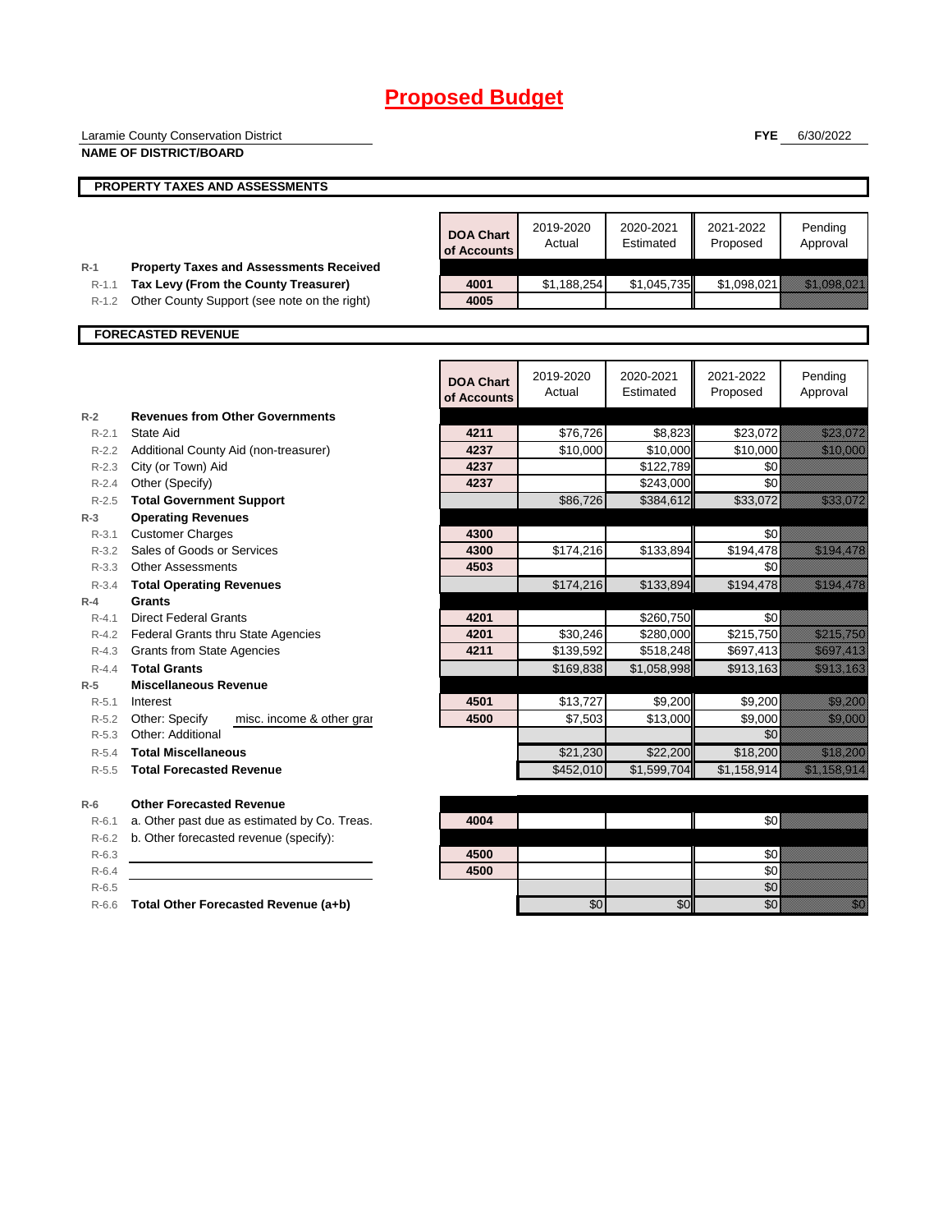|                    | Laramie County Conservation District                                                   |                                 |                     |                        | <b>FYE</b>            | 6/30/2022                                                                                                                                                                                                                        |
|--------------------|----------------------------------------------------------------------------------------|---------------------------------|---------------------|------------------------|-----------------------|----------------------------------------------------------------------------------------------------------------------------------------------------------------------------------------------------------------------------------|
|                    | <b>NAME OF DISTRICT/BOARD</b>                                                          |                                 |                     |                        |                       |                                                                                                                                                                                                                                  |
|                    | PROPERTY TAXES AND ASSESSMENTS                                                         |                                 |                     |                        |                       |                                                                                                                                                                                                                                  |
|                    |                                                                                        |                                 |                     |                        |                       |                                                                                                                                                                                                                                  |
|                    |                                                                                        | <b>DOA Chart</b><br>of Accounts | 2019-2020<br>Actual | 2020-2021<br>Estimated | 2021-2022<br>Proposed | Pending<br>Approval                                                                                                                                                                                                              |
| $R-1$<br>$R-1.1$   | <b>Property Taxes and Assessments Received</b><br>Tax Levy (From the County Treasurer) | 4001                            | \$1,188,254         | \$1,045,735            | \$1,098,021           | <u> Marijana (Marijana (Marijana (Marijana (Marijana (Marijana (Marijana (Marijana (Marijana (Marijana (Marijana</u>                                                                                                             |
| R-1.2              | Other County Support (see note on the right)                                           | 4005                            |                     |                        |                       |                                                                                                                                                                                                                                  |
|                    |                                                                                        |                                 |                     |                        |                       |                                                                                                                                                                                                                                  |
|                    | <b>FORECASTED REVENUE</b>                                                              |                                 |                     |                        |                       |                                                                                                                                                                                                                                  |
|                    |                                                                                        | <b>DOA Chart</b><br>of Accounts | 2019-2020<br>Actual | 2020-2021<br>Estimated | 2021-2022<br>Proposed | Pending<br>Approval                                                                                                                                                                                                              |
| $R-2$              | <b>Revenues from Other Governments</b>                                                 |                                 |                     |                        |                       |                                                                                                                                                                                                                                  |
| $R - 2.1$          | State Aid                                                                              | 4211                            | \$76,726            | \$8,823                | \$23,072              | <u>i karatanan di kacamatan ing Kabupatèn Bandaré Pandalu</u>                                                                                                                                                                    |
| $R - 2.3$          | R-2.2 Additional County Aid (non-treasurer)<br>City (or Town) Aid                      | 4237<br>4237                    | \$10,000            | \$10,000<br>\$122,789  | \$10,000<br>\$0       | <u>tik kalendari d</u>                                                                                                                                                                                                           |
| R-2.4              | Other (Specify)                                                                        | 4237                            |                     | \$243,000              | \$0                   |                                                                                                                                                                                                                                  |
| $R - 2.5$          | <b>Total Government Support</b>                                                        |                                 | \$86,726            | \$384,612              | \$33,072              | <u> Karlingan yang berasala</u>                                                                                                                                                                                                  |
| $R-3$              | <b>Operating Revenues</b>                                                              |                                 |                     |                        |                       |                                                                                                                                                                                                                                  |
| R-3.1              | <b>Customer Charges</b>                                                                | 4300                            |                     |                        | \$0                   |                                                                                                                                                                                                                                  |
|                    | R-3.2 Sales of Goods or Services                                                       | 4300                            | \$174,216           | \$133,894              | \$194,478             | <u> Mariji (</u>                                                                                                                                                                                                                 |
| $R - 3.3$          | <b>Other Assessments</b>                                                               | 4503                            |                     |                        | \$0                   |                                                                                                                                                                                                                                  |
| $R - 3.4$<br>$R-4$ | <b>Total Operating Revenues</b><br><b>Grants</b>                                       |                                 | \$174,216           | \$133,894              | \$194,478             | <u> Elizabeth Charles (</u>                                                                                                                                                                                                      |
| $R - 4.1$          | <b>Direct Federal Grants</b>                                                           | 4201                            |                     | \$260,750              | \$0                   |                                                                                                                                                                                                                                  |
| R-4.2              | Federal Grants thru State Agencies                                                     | 4201                            | \$30,246            | \$280,000              | \$215,750             | <u> Maria Maria I</u>                                                                                                                                                                                                            |
| R-4.3              | <b>Grants from State Agencies</b>                                                      | 4211                            | \$139,592           | \$518,248              | \$697,413             | <u> Karl Martin S</u>                                                                                                                                                                                                            |
| $R - 4.4$          | <b>Total Grants</b>                                                                    |                                 | \$169,838           | \$1,058,998            | \$913,163             | <u>esta la lingua</u>                                                                                                                                                                                                            |
| $R-5$              | <b>Miscellaneous Revenue</b>                                                           |                                 |                     |                        |                       |                                                                                                                                                                                                                                  |
| $R-5.1$            | Interest                                                                               | 4501                            | \$13,727            | \$9,200                | \$9,200               | <u> Kalifornia (</u>                                                                                                                                                                                                             |
| R-5.2<br>$R-5.3$   | Other: Specify<br>misc. income & other gran<br>Other: Additional                       | 4500                            | \$7,503             | \$13,000               | \$9,000<br>\$0        | <u>tik ka</u>                                                                                                                                                                                                                    |
| $R-5.4$            | <b>Total Miscellaneous</b>                                                             |                                 | \$21,230            | \$22,200               | \$18,200              | <u> Kalendari Se</u>                                                                                                                                                                                                             |
| R-5.5              | <b>Total Forecasted Revenue</b>                                                        |                                 | \$452,010           | \$1,599,704            | \$1,158,914           | a katalunggal na katalunggal na katalunggal na katalunggal na katalunggal na katalunggal na katalunggal na kat                                                                                                                   |
|                    |                                                                                        |                                 |                     |                        |                       |                                                                                                                                                                                                                                  |
| $R-6$              | <b>Other Forecasted Revenue</b>                                                        |                                 |                     |                        |                       |                                                                                                                                                                                                                                  |
| $R-6.1$            | a. Other past due as estimated by Co. Treas.                                           | 4004                            |                     |                        | \$0                   |                                                                                                                                                                                                                                  |
| $R - 6.2$          | b. Other forecasted revenue (specify):                                                 |                                 |                     |                        |                       |                                                                                                                                                                                                                                  |
| $R-6.3$            |                                                                                        | 4500                            |                     |                        | \$0                   |                                                                                                                                                                                                                                  |
| $R-6.4$<br>$R-6.5$ |                                                                                        | 4500                            |                     |                        | \$0<br>\$0            |                                                                                                                                                                                                                                  |
|                    | R-6.6 Total Other Forecasted Revenue (a+b)                                             |                                 | \$0                 | \$0                    | \$0                   | en de la familie de la familie de la familie de la familie de la familie de la familie de la familie de la fam<br>Constitution de la familie de la familie de la familie de la familie de la familie de la familie de la familie |
|                    |                                                                                        |                                 |                     |                        |                       |                                                                                                                                                                                                                                  |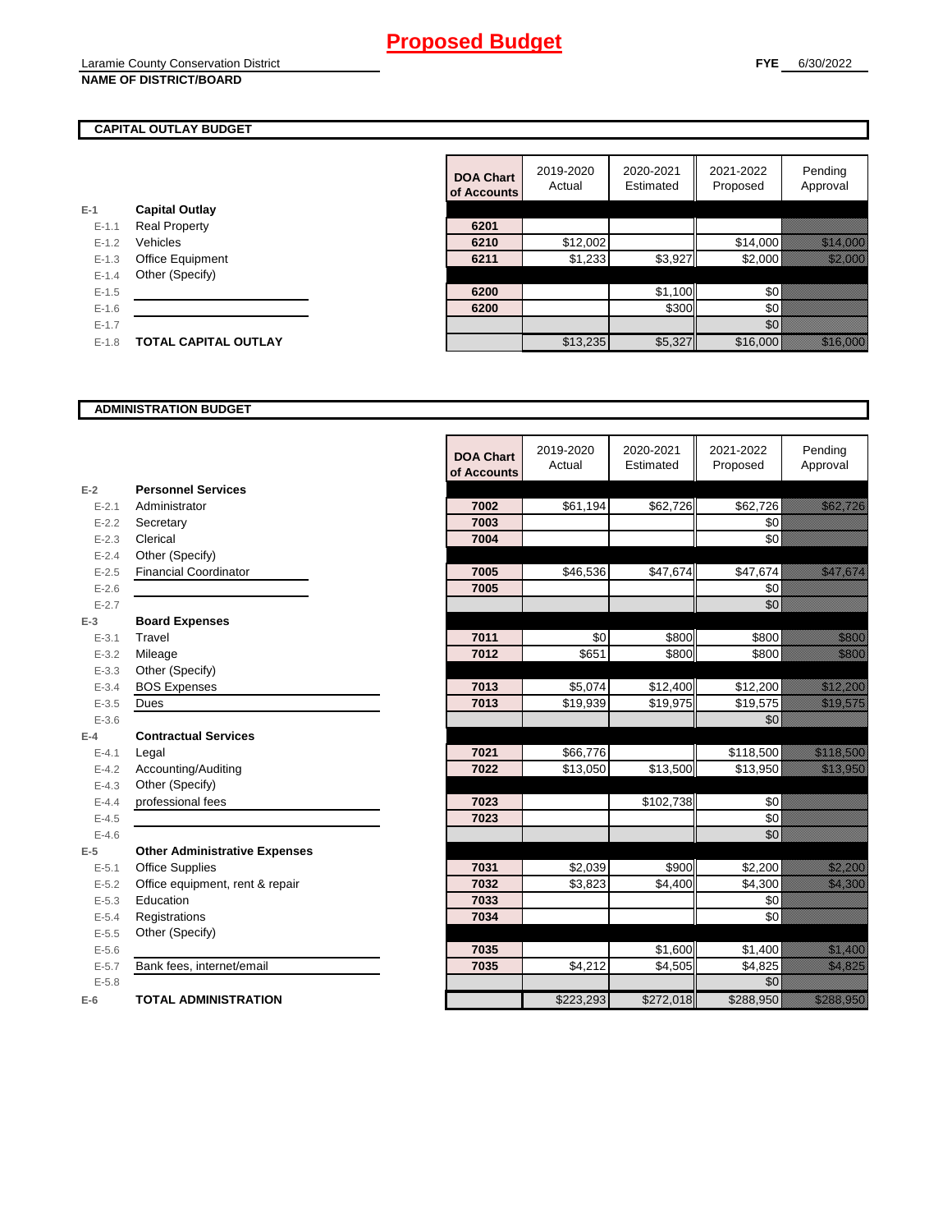## **FYE** 6/30/2022

## **CAPITAL OUTLAY BUDGET**

|           |                             | ui Auuu |
|-----------|-----------------------------|---------|
| $E-1$     | <b>Capital Outlay</b>       |         |
| $E - 1.1$ | <b>Real Property</b>        | 6201    |
| $E - 1.2$ | Vehicles                    | 6210    |
| $E - 1.3$ | Office Equipment            | 6211    |
| $E - 1.4$ | Other (Specify)             |         |
| $E - 1.5$ |                             | 6200    |
| $E - 1.6$ |                             | 6200    |
| $E - 1.7$ |                             |         |
| $E - 1.8$ | <b>TOTAL CAPITAL OUTLAY</b> |         |
|           |                             |         |

| 2021-2022<br>2019-2020<br>2020-2021<br><b>DOA Chart</b><br>Estimated<br>Proposed<br>Actual<br>of Accounts | Pending<br>Approval                                                                                                  |
|-----------------------------------------------------------------------------------------------------------|----------------------------------------------------------------------------------------------------------------------|
| <b>Capital Outlay</b>                                                                                     |                                                                                                                      |
| 6201<br><b>Real Property</b><br>$E - 1.1$                                                                 |                                                                                                                      |
| \$12,002<br>\$14,000<br>Vehicles<br>6210<br>$E - 1.2$                                                     | <u> Timor San Timor San Timor San Timor San Timor San Timor San Timor San Timor San Timor San Timor San Timor Sa</u> |
| \$3,927<br>\$1,233<br>\$2,000<br>$E - 1.3$<br>Office Equipment<br>6211                                    | <u> Harristo Santa Constantinoplazione di un internazionale di un internologica di un internologica di un intern</u> |
| Other (Specify)<br>$E - 1.4$                                                                              |                                                                                                                      |
| \$1,100<br>\$0<br>6200<br>$E-1.5$                                                                         |                                                                                                                      |
| \$300<br>\$0<br>$E-1.6$<br>6200                                                                           |                                                                                                                      |
| \$0<br>$E - 1.7$                                                                                          |                                                                                                                      |
| \$5,327<br>\$16,000<br><b>TOTAL CAPITAL OUTLAY</b><br>\$13,235<br>$E-1.8$                                 |                                                                                                                      |

## **ADMINISTRATION BUDGET**

|           |                                      | <b>DOA Chart</b><br>of Accounts | 2019-2020<br>Actual | 2020-2021<br>Estimated | 2021-2022<br>Proposed | Pending<br>Approval                                                                                                                                                                                                              |
|-----------|--------------------------------------|---------------------------------|---------------------|------------------------|-----------------------|----------------------------------------------------------------------------------------------------------------------------------------------------------------------------------------------------------------------------------|
| $E-2$     | <b>Personnel Services</b>            |                                 |                     |                        |                       |                                                                                                                                                                                                                                  |
| $E - 2.1$ | Administrator                        | 7002                            | \$61,194            | \$62,726               | \$62,726              | <u>ika kultura k</u>                                                                                                                                                                                                             |
| $E - 2.2$ | Secretary                            | 7003                            |                     |                        | \$0                   |                                                                                                                                                                                                                                  |
| $E - 2.3$ | Clerical                             | 7004                            |                     |                        | \$0                   |                                                                                                                                                                                                                                  |
| $E - 2.4$ | Other (Specify)                      |                                 |                     |                        |                       |                                                                                                                                                                                                                                  |
| $E - 2.5$ | <b>Financial Coordinator</b>         | 7005                            | \$46,536            | \$47,674               | \$47,674              | <u>eliministratif</u>                                                                                                                                                                                                            |
| $E - 2.6$ |                                      | 7005                            |                     |                        | \$0                   |                                                                                                                                                                                                                                  |
| $E - 2.7$ |                                      |                                 |                     |                        | \$0                   |                                                                                                                                                                                                                                  |
| $E-3$     | <b>Board Expenses</b>                |                                 |                     |                        |                       |                                                                                                                                                                                                                                  |
| $E - 3.1$ | Travel                               | 7011                            | \$0                 | \$800                  | \$800                 | <u>tik k</u>                                                                                                                                                                                                                     |
| $E - 3.2$ | Mileage                              | 7012                            | \$651               | \$800                  | \$800                 | <u>till andra</u>                                                                                                                                                                                                                |
| $E - 3.3$ | Other (Specify)                      |                                 |                     |                        |                       |                                                                                                                                                                                                                                  |
| $E - 3.4$ | <b>BOS Expenses</b>                  | 7013                            | \$5,074             | \$12,400               | \$12,200              | <u> Karlin Sarajan (</u>                                                                                                                                                                                                         |
| $E - 3.5$ | Dues                                 | 7013                            | \$19,939            | \$19,975               | \$19,575              | <u>, and the community of the community of the community of the community of the community of the community of th</u>                                                                                                            |
| $E - 3.6$ |                                      |                                 |                     |                        | \$0                   |                                                                                                                                                                                                                                  |
| $E-4$     | <b>Contractual Services</b>          |                                 |                     |                        |                       |                                                                                                                                                                                                                                  |
| $E - 4.1$ | Legal                                | 7021                            | \$66,776            |                        | \$118,500             | <u> Elizabeth Carl</u>                                                                                                                                                                                                           |
| $E - 4.2$ | Accounting/Auditing                  | 7022                            | \$13,050            | \$13,500               | \$13,950              | a katika katika katika katika katika katika katika katika katika katika katika katika katika katika katika kat<br>Katika katika katika katika katika katika katika katika katika katika katika katika katika katika katika katik |
| $E - 4.3$ | Other (Specify)                      |                                 |                     |                        |                       |                                                                                                                                                                                                                                  |
| $E - 4.4$ | professional fees                    | 7023                            |                     | \$102,738              | 50                    |                                                                                                                                                                                                                                  |
| $E-4.5$   |                                      | 7023                            |                     |                        | \$0                   |                                                                                                                                                                                                                                  |
| $E-4.6$   |                                      |                                 |                     |                        | \$0                   |                                                                                                                                                                                                                                  |
| $E-5$     | <b>Other Administrative Expenses</b> |                                 |                     |                        |                       |                                                                                                                                                                                                                                  |
| $E - 5.1$ | <b>Office Supplies</b>               | 7031                            | \$2,039             | \$900                  | \$2,200               | <u>tionalised</u>                                                                                                                                                                                                                |
| $E - 5.2$ | Office equipment, rent & repair      | 7032                            | \$3,823             | \$4,400                | \$4,300               | <u>elitika ko</u>                                                                                                                                                                                                                |
| $E - 5.3$ | Education                            | 7033                            |                     |                        | \$0                   |                                                                                                                                                                                                                                  |
| $E - 5.4$ | Registrations                        | 7034                            |                     |                        | \$0                   |                                                                                                                                                                                                                                  |
| $E-5.5$   | Other (Specify)                      |                                 |                     |                        |                       |                                                                                                                                                                                                                                  |
| $E - 5.6$ |                                      | 7035                            |                     | \$1,600                | \$1,400               | <u>e de la construcción de la construcción de la construcción de la construcción de la construcción de la constru</u>                                                                                                            |
| $E - 5.7$ | Bank fees, internet/email            | 7035                            | \$4,212             | \$4,505                | \$4,825               | <u>i karatiful pa</u>                                                                                                                                                                                                            |
| $E - 5.8$ |                                      |                                 |                     |                        | \$0                   |                                                                                                                                                                                                                                  |
| $E-6$     | <b>TOTAL ADMINISTRATION</b>          |                                 | \$223,293           | \$272,018              | \$288,950             | <u>e de la componenta</u>                                                                                                                                                                                                        |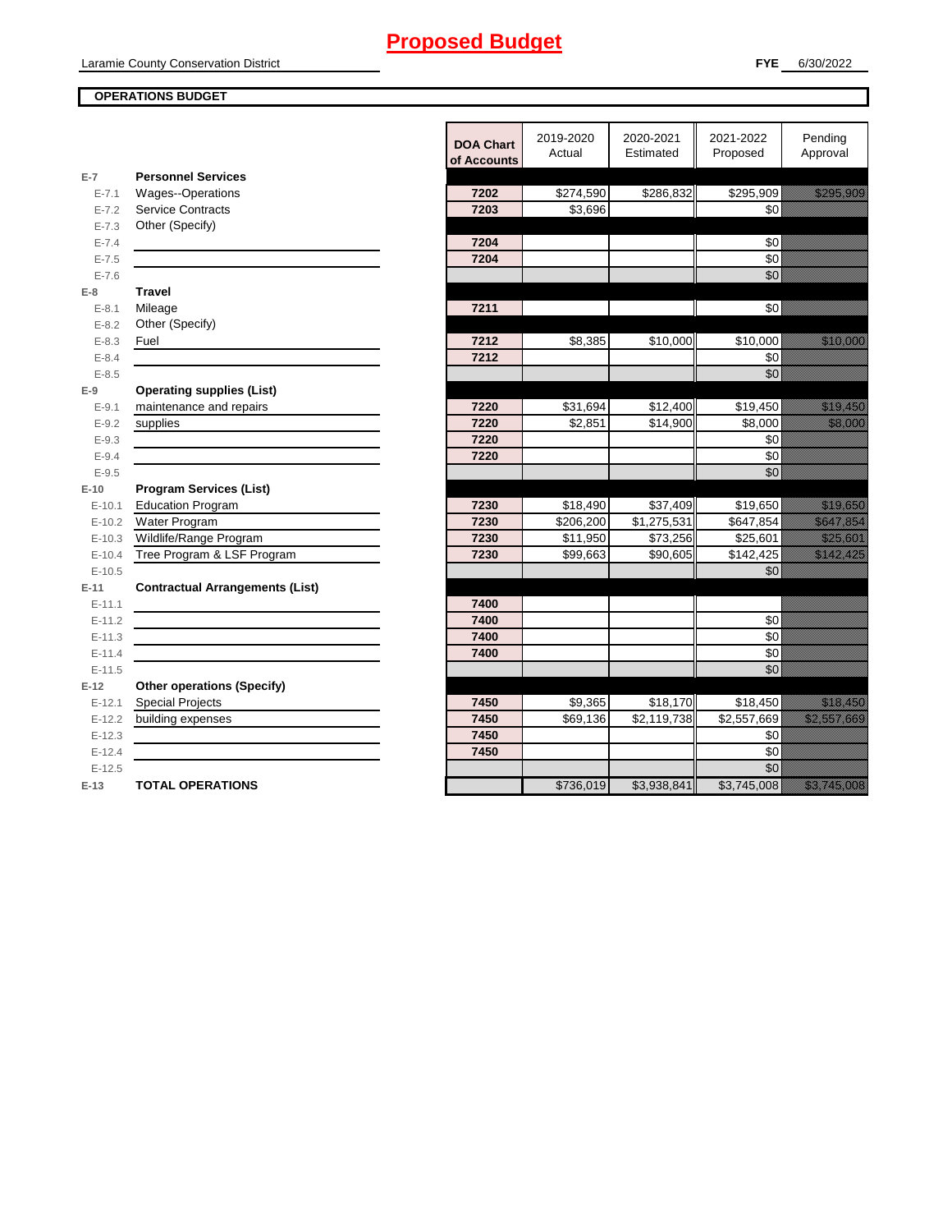## **OPERATIONS BUDGET**

|                    |                                                             | <b>DOA Chart</b><br>of Accounts | 2019-2020<br>Actual | 2020-2021<br>Estimated | 2021-2022<br>Proposed | Pending<br>Approval                                                                                                                                                                                                              |
|--------------------|-------------------------------------------------------------|---------------------------------|---------------------|------------------------|-----------------------|----------------------------------------------------------------------------------------------------------------------------------------------------------------------------------------------------------------------------------|
| $E-7$              | <b>Personnel Services</b>                                   |                                 |                     |                        |                       |                                                                                                                                                                                                                                  |
| $E - 7.1$          | Wages--Operations                                           | 7202                            | \$274,590           | \$286,832              | \$295,909             | <u>e de la provincia de la pro</u>                                                                                                                                                                                               |
| $E - 7.2$          | <b>Service Contracts</b>                                    | 7203                            | \$3,696             |                        | \$0                   |                                                                                                                                                                                                                                  |
| $E - 7.3$          | Other (Specify)                                             |                                 |                     |                        |                       |                                                                                                                                                                                                                                  |
| $E - 7.4$          |                                                             | 7204                            |                     |                        | \$0                   |                                                                                                                                                                                                                                  |
| $E - 7.5$          |                                                             | 7204                            |                     |                        | \$0                   |                                                                                                                                                                                                                                  |
| $E - 7.6$          |                                                             |                                 |                     |                        | $\overline{60}$       |                                                                                                                                                                                                                                  |
| $E-8$              | <b>Travel</b>                                               |                                 |                     |                        |                       |                                                                                                                                                                                                                                  |
| $E - 8.1$          | Mileage                                                     | 7211                            |                     |                        | \$0                   |                                                                                                                                                                                                                                  |
| $E - 8.2$          | Other (Specify)                                             |                                 |                     |                        |                       |                                                                                                                                                                                                                                  |
| $E - 8.3$          | Fuel                                                        | 7212<br>7212                    | \$8,385             | \$10,000               | \$10,000<br>\$0       | <u> Karl Sara</u>                                                                                                                                                                                                                |
| $E - 8.4$          |                                                             |                                 |                     |                        | $\overline{60}$       |                                                                                                                                                                                                                                  |
| $E - 8.5$<br>$E-9$ |                                                             |                                 |                     |                        |                       |                                                                                                                                                                                                                                  |
| $E-9.1$            | <b>Operating supplies (List)</b><br>maintenance and repairs | 7220                            | \$31,694            | \$12,400               | \$19,450              | <u>i karatikana ka</u>                                                                                                                                                                                                           |
| $E - 9.2$          | supplies                                                    | 7220                            | \$2,851             | \$14,900               | \$8,000               | <u> Kabupatèn Ing</u>                                                                                                                                                                                                            |
| $E - 9.3$          |                                                             | 7220                            |                     |                        | \$0                   |                                                                                                                                                                                                                                  |
| $E - 9.4$          |                                                             | 7220                            |                     |                        | \$0                   |                                                                                                                                                                                                                                  |
| $E-9.5$            |                                                             |                                 |                     |                        | \$0                   |                                                                                                                                                                                                                                  |
| $E-10$             | <b>Program Services (List)</b>                              |                                 |                     |                        |                       |                                                                                                                                                                                                                                  |
| $E-10.1$           | <b>Education Program</b>                                    | 7230                            | \$18,490            | \$37,409               | \$19,650              | <u> Karl Sara</u>                                                                                                                                                                                                                |
| $E-10.2$           | Water Program                                               | 7230                            | \$206,200           | \$1,275,531            | \$647,854             | <u>Samaniya k</u>                                                                                                                                                                                                                |
| $E-10.3$           | Wildlife/Range Program                                      | 7230                            | \$11,950            | \$73,256               | \$25,601              | <u> Karl Sara</u>                                                                                                                                                                                                                |
| $E-10.4$           | Tree Program & LSF Program                                  | 7230                            | \$99,663            | \$90,605               | \$142.425             | <u>tika kuning ka</u>                                                                                                                                                                                                            |
| $E-10.5$           |                                                             |                                 |                     |                        | \$0                   |                                                                                                                                                                                                                                  |
| $E-11$             | <b>Contractual Arrangements (List)</b>                      |                                 |                     |                        |                       |                                                                                                                                                                                                                                  |
| $E-11.1$           |                                                             | 7400                            |                     |                        |                       |                                                                                                                                                                                                                                  |
| $E-11.2$           |                                                             | 7400                            |                     |                        | \$0                   |                                                                                                                                                                                                                                  |
| $E-11.3$           |                                                             | 7400                            |                     |                        | \$0                   |                                                                                                                                                                                                                                  |
| $E-11.4$           |                                                             | 7400                            |                     |                        | \$0                   |                                                                                                                                                                                                                                  |
| $E-11.5$           |                                                             |                                 |                     |                        | \$0                   |                                                                                                                                                                                                                                  |
| $E-12$             | <b>Other operations (Specify)</b>                           |                                 |                     |                        |                       |                                                                                                                                                                                                                                  |
| $E-12.1$           | <b>Special Projects</b>                                     | 7450                            | \$9,365             | \$18,170               | \$18,450              | a katika katika katika katika katika katika ali daga katika katika katika katika katika katika katika katika k<br>Katika katika katika katika katika katika katika katika katika katika katika katika katika katika katika katik |
| $E-12.2$           | building expenses                                           | 7450                            | \$69,136            | \$2,119,738            | \$2,557,669           | <u>elittelik kontrollerin kontrollerin kontrollerin kontrollerin kontrollerin kontrollerin kontrollerin kontrol</u>                                                                                                              |
| $E-12.3$           |                                                             | 7450                            |                     |                        | \$0                   |                                                                                                                                                                                                                                  |
| $E-12.4$           |                                                             | 7450                            |                     |                        | \$0                   |                                                                                                                                                                                                                                  |
| $E-12.5$           |                                                             |                                 |                     |                        | $\overline{50}$       |                                                                                                                                                                                                                                  |
| $E-13$             | <b>TOTAL OPERATIONS</b>                                     |                                 | \$736,019           | \$3,938,841            | \$3,745,008           | <u>e dhe që për të përfshën e për të përfshën e për të përfshën e për të përfshën e për të përfshën e për të për</u>                                                                                                             |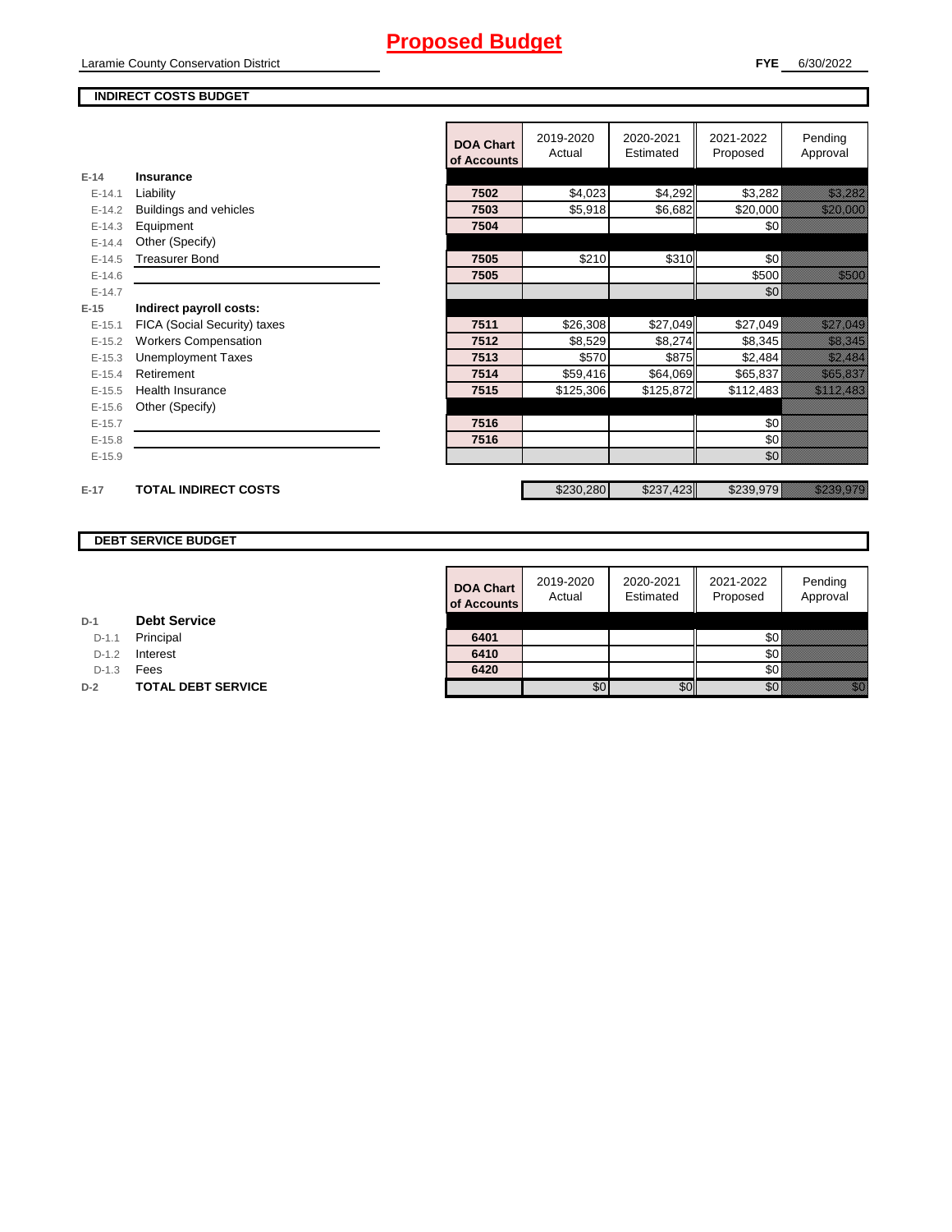## **FYE** 6/30/2022

## **INDIRECT COSTS BUDGET**

|          |                              | <b>DOA Chart</b><br>of Accounts | 2019-2020<br>Actual | 2020-2021<br>Estimated | 2021-2022<br>Proposed | Pending<br>Approval                 |
|----------|------------------------------|---------------------------------|---------------------|------------------------|-----------------------|-------------------------------------|
| $E-14$   | Insurance                    |                                 |                     |                        |                       |                                     |
| $E-14.1$ | Liability                    | 7502                            | \$4,023             | \$4,292                | \$3,282               | <u> Harrison (</u>                  |
| $E-14.2$ | Buildings and vehicles       | 7503                            | \$5,918             | \$6,682                | \$20,000              | <u> Karlingan Sa</u>                |
| $E-14.3$ | Equipment                    | 7504                            |                     |                        | \$0                   |                                     |
| $E-14.4$ | Other (Specify)              |                                 |                     |                        |                       |                                     |
| $E-14.5$ | <b>Treasurer Bond</b>        | 7505                            | \$210               | \$310                  | \$0                   |                                     |
| $E-14.6$ |                              | 7505                            |                     |                        | \$500                 | <u>ti ka</u>                        |
| $E-14.7$ |                              |                                 |                     |                        | \$0                   |                                     |
| $E-15$   | Indirect payroll costs:      |                                 |                     |                        |                       |                                     |
| $E-15.1$ | FICA (Social Security) taxes | 7511                            | \$26,308            | \$27,049               | \$27,049              | <u> Elittiko esta</u>               |
| $E-15.2$ | <b>Workers Compensation</b>  | 7512                            | \$8,529             | \$8,274                | \$8,345               | <u> Kalèndher Ka</u>                |
| $E-15.3$ | <b>Unemployment Taxes</b>    | 7513                            | \$570               | \$875                  | \$2,484               | <u>ti alikuwa kutoka mwaka wa m</u> |
| $E-15.4$ | Retirement                   | 7514                            | \$59,416            | \$64,069               | \$65,837              | <u> Karlingan yang berluku</u>      |
| $E-15.5$ | <b>Health Insurance</b>      | 7515                            | \$125,306           | \$125,872              | \$112,483             | <u> Elitteratural e</u>             |
| $E-15.6$ | Other (Specify)              |                                 |                     |                        |                       |                                     |
| $E-15.7$ |                              | 7516                            |                     |                        | \$0                   |                                     |
| $E-15.8$ |                              | 7516                            |                     |                        | \$0                   |                                     |
| $E-15.9$ |                              |                                 |                     |                        | \$0                   |                                     |
| $E-17$   | <b>TOTAL INDIRECT COSTS</b>  |                                 | \$230,280           | \$237,423              | \$239,979             | <u>izan za k</u>                    |

## **DEBT SERVICE BUDGET**

|         |                           | <b>DOA Chart</b><br>of Accounts | 2019-2020<br>Actual | 2020-2021<br>Estimated | 2021-2022<br>Proposed | Pending<br>Approval |
|---------|---------------------------|---------------------------------|---------------------|------------------------|-----------------------|---------------------|
|         | <b>Debt Service</b>       |                                 |                     |                        |                       |                     |
| $D-1.1$ | Principal                 | 6401                            |                     |                        | \$0                   |                     |
| $D-1.2$ | Interest                  | 6410                            |                     |                        | <b>\$0</b>            |                     |
| $D-1.3$ | Fees                      | 6420                            |                     |                        | \$0                   |                     |
|         | <b>TOTAL DEBT SERVICE</b> |                                 | \$0                 | \$0                    | \$0                   | 1999                |

| D-1 |  | <b>Debt Service</b> |
|-----|--|---------------------|
|-----|--|---------------------|

D-1.1 **Principal** 

D-1.2 **Interest** 

**D-2 TOTAL DEBT SERVICE**